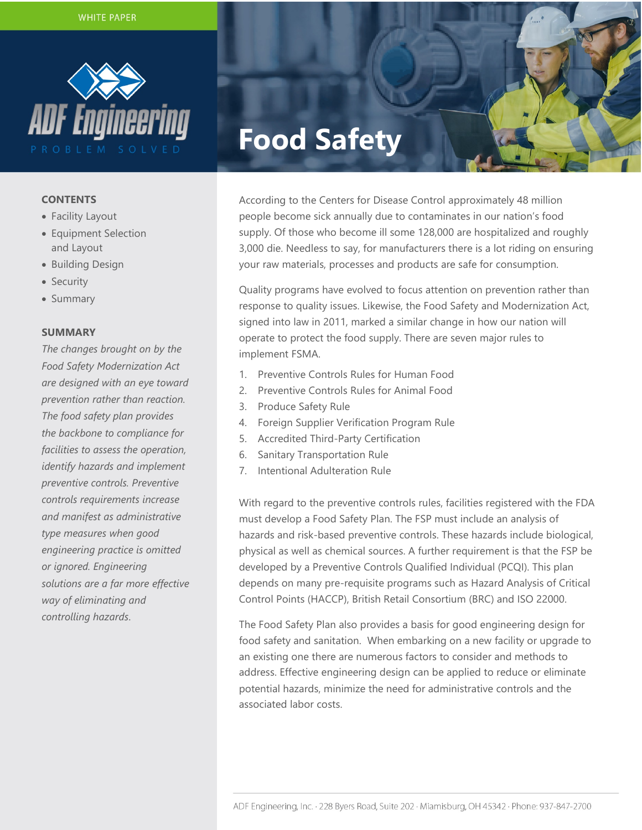

#### **CONTENTS**

- Facility Layout
- Equipment Selection and Layout
- Building Design
- Security
- Summary

## **SUMMARY**

*The changes brought on by the Food Safety Modernization Act are designed with an eye toward prevention rather than reaction. The food safety plan provides the backbone to compliance for facilities to assess the operation, identify hazards and implement preventive controls. Preventive controls requirements increase and manifest as administrative type measures when good engineering practice is omitted or ignored. Engineering solutions are a far more effective way of eliminating and controlling hazards*.

# **Food Safety**

According to the Centers for Disease Control approximately 48 million people become sick annually due to contaminates in our nation's food supply. Of those who become ill some 128,000 are hospitalized and roughly 3,000 die. Needless to say, for manufacturers there is a lot riding on ensuring your raw materials, processes and products are safe for consumption.

Quality programs have evolved to focus attention on prevention rather than response to quality issues. Likewise, the Food Safety and Modernization Act, signed into law in 2011, marked a similar change in how our nation will operate to protect the food supply. There are seven major rules to implement FSMA.

- 1. Preventive Controls Rules for Human Food
- 2. Preventive Controls Rules for Animal Food
- 3. Produce Safety Rule
- 4. Foreign Supplier Verification Program Rule
- 5. Accredited Third-Party Certification
- 6. Sanitary Transportation Rule
- 7. Intentional Adulteration Rule

With regard to the preventive controls rules, facilities registered with the FDA must develop a Food Safety Plan. The FSP must include an analysis of hazards and risk-based preventive controls. These hazards include biological, physical as well as chemical sources. A further requirement is that the FSP be developed by a Preventive Controls Qualified Individual (PCQI). This plan depends on many pre-requisite programs such as Hazard Analysis of Critical Control Points (HACCP), British Retail Consortium (BRC) and ISO 22000.

The Food Safety Plan also provides a basis for good engineering design for food safety and sanitation. When embarking on a new facility or upgrade to an existing one there are numerous factors to consider and methods to address. Effective engineering design can be applied to reduce or eliminate potential hazards, minimize the need for administrative controls and the associated labor costs.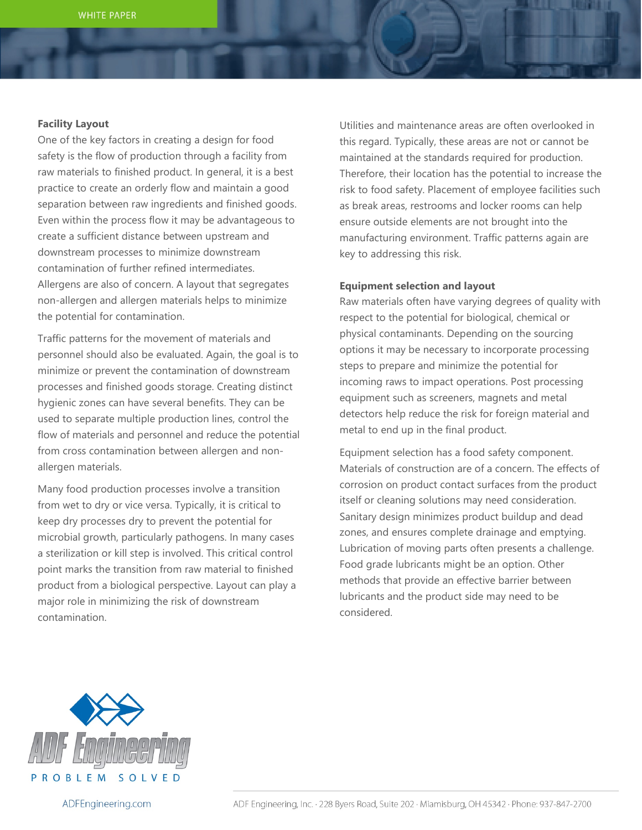## **Facility Layout**

One of the key factors in creating a design for food safety is the flow of production through a facility from raw materials to finished product. In general, it is a best practice to create an orderly flow and maintain a good separation between raw ingredients and finished goods. Even within the process flow it may be advantageous to create a sufficient distance between upstream and downstream processes to minimize downstream contamination of further refined intermediates. Allergens are also of concern. A layout that segregates non-allergen and allergen materials helps to minimize the potential for contamination.

Traffic patterns for the movement of materials and personnel should also be evaluated. Again, the goal is to minimize or prevent the contamination of downstream processes and finished goods storage. Creating distinct hygienic zones can have several benefits. They can be used to separate multiple production lines, control the flow of materials and personnel and reduce the potential from cross contamination between allergen and nonallergen materials.

Many food production processes involve a transition from wet to dry or vice versa. Typically, it is critical to keep dry processes dry to prevent the potential for microbial growth, particularly pathogens. In many cases a sterilization or kill step is involved. This critical control point marks the transition from raw material to finished product from a biological perspective. Layout can play a major role in minimizing the risk of downstream contamination.

Utilities and maintenance areas are often overlooked in this regard. Typically, these areas are not or cannot be maintained at the standards required for production. Therefore, their location has the potential to increase the risk to food safety. Placement of employee facilities such as break areas, restrooms and locker rooms can help ensure outside elements are not brought into the manufacturing environment. Traffic patterns again are key to addressing this risk.

## **Equipment selection and layout**

Raw materials often have varying degrees of quality with respect to the potential for biological, chemical or physical contaminants. Depending on the sourcing options it may be necessary to incorporate processing steps to prepare and minimize the potential for incoming raws to impact operations. Post processing equipment such as screeners, magnets and metal detectors help reduce the risk for foreign material and metal to end up in the final product.

Equipment selection has a food safety component. Materials of construction are of a concern. The effects of corrosion on product contact surfaces from the product itself or cleaning solutions may need consideration. Sanitary design minimizes product buildup and dead zones, and ensures complete drainage and emptying. Lubrication of moving parts often presents a challenge. Food grade lubricants might be an option. Other methods that provide an effective barrier between lubricants and the product side may need to be considered.



ADFEngineering.com